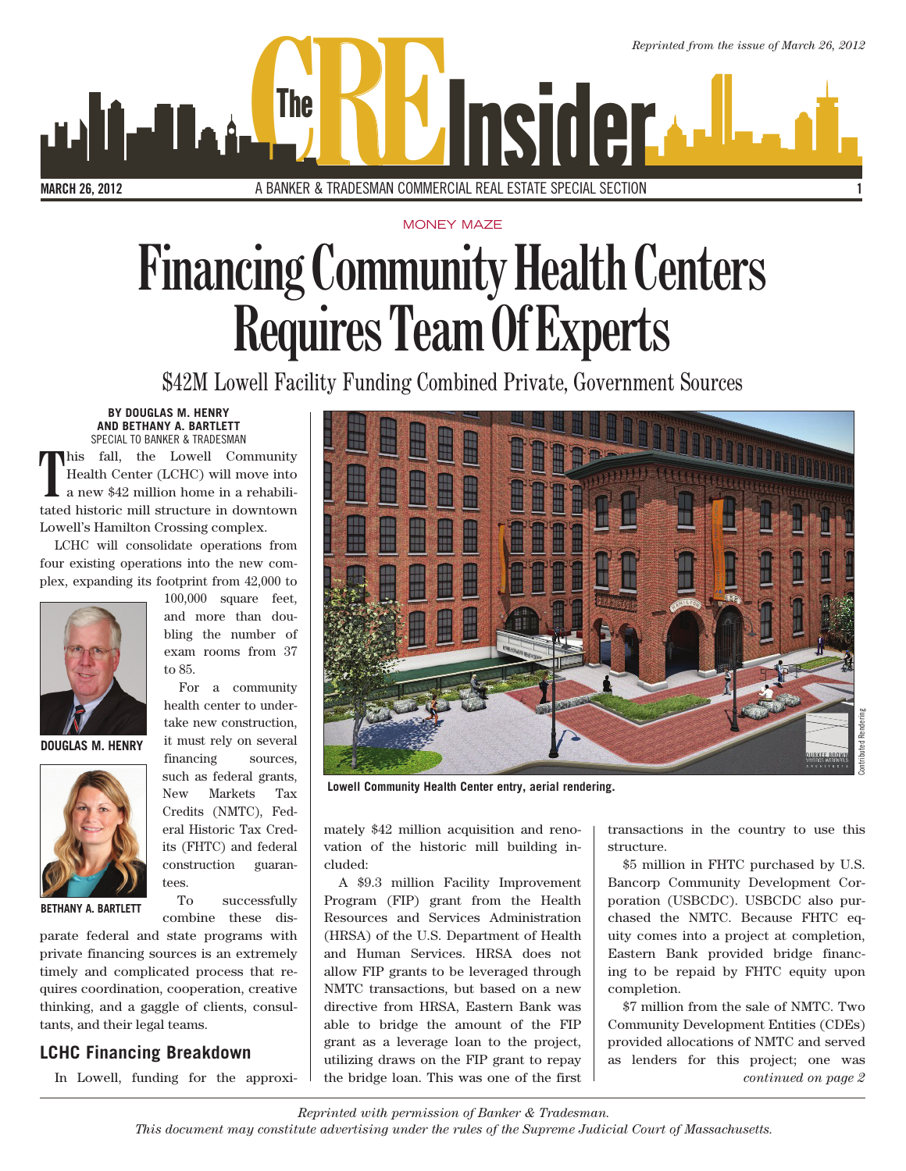*Reprinted from the issue of March 26, 2012* MARCH 26, 2012 **CREADESMAN COMMERCIAL REAL ESTATE SPECIAL SECTION** 1 A BANKER & TRADESMAN COMMERCIAL REAL ESTATE SPECIAL SECTION

MONEY MAZE

# **Financing Community Health Centers Requires Team Of Experts**

\$42M Lowell Facility Funding Combined Private, Government Sources

## **BY DOUGLAS M. HENRY AND BETHANY A. BARTLETT**

SPECIAL TO BANKER & TRADESMAN **T** his fall, the Lowell Community Health Center (LCHC) will move into a new \$42 million home in a rehabilitated historic mill structure in downtown Lowell's Hamilton Crossing complex.

LCHC will consolidate operations from four existing operations into the new complex, expanding its footprint from 42,000 to

to 85.



**DOUGLAS M. HENRY**



**BETHANY A. BARTLETT**

its (FHTC) and federal construction guarantees. To successfully

100,000 square feet, and more than doubling the number of exam rooms from 37

For a community health center to undertake new construction, it must rely on several financing sources, such as federal grants, New Markets Tax Credits (NMTC), Federal Historic Tax Cred-

combine these dis-

parate federal and state programs with private financing sources is an extremely timely and complicated process that requires coordination, cooperation, creative thinking, and a gaggle of clients, consultants, and their legal teams.

## **LCHC Financing Breakdown**

In Lowell, funding for the approxi-



 **Lowell Community Health Center entry, aerial rendering.** 

mately \$42 million acquisition and renovation of the historic mill building included:

A \$9.3 million Facility Improvement Program (FIP) grant from the Health Resources and Services Administration (HRSA) of the U.S. Department of Health and Human Services. HRSA does not allow FIP grants to be leveraged through NMTC transactions, but based on a new directive from HRSA, Eastern Bank was able to bridge the amount of the FIP grant as a leverage loan to the project, utilizing draws on the FIP grant to repay the bridge loan. This was one of the first transactions in the country to use this structure.

\$5 million in FHTC purchased by U.S. Bancorp Community Development Corporation (USBCDC). USBCDC also purchased the NMTC. Because FHTC equity comes into a project at completion, Eastern Bank provided bridge financing to be repaid by FHTC equity upon completion.

\$7 million from the sale of NMTC. Two Community Development Entities (CDEs) provided allocations of NMTC and served as lenders for this project; one was *continued on page 2*

*Reprinted with permission of Banker & Tradesman. This document may constitute advertising under the rules of the Supreme Judicial Court of Massachusetts.*